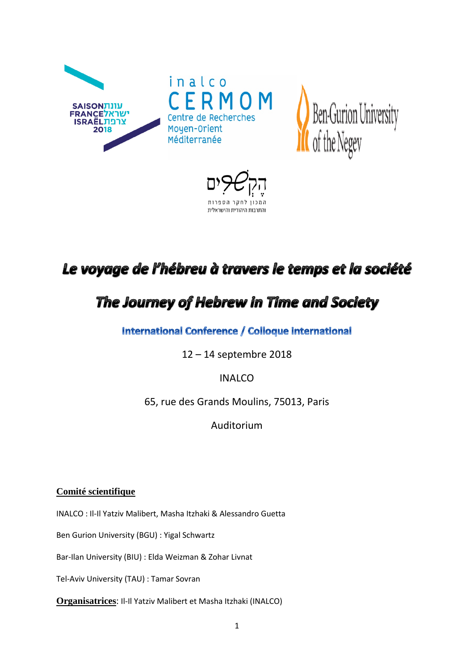

לחקר הספרות והתרבות היהודית והישראלית

# Le voyage de l'hébreu à travers le temps et la société

# The Journey of Hebrew in Time and Society

International Conference / Colloque international

12 – 14 septembre 2018

# INALCO

65, rue des Grands Moulins, 75013, Paris

Auditorium

# **Comité scientifique**

INALCO : Il-Il Yatziv Malibert, Masha Itzhaki & Alessandro Guetta

Ben Gurion University (BGU) : Yigal Schwartz

Bar-Ilan University (BIU) : Elda Weizman & Zohar Livnat

Tel-Aviv University (TAU) : Tamar Sovran

**Organisatrices**: Il-Il Yatziv Malibert et Masha Itzhaki (INALCO)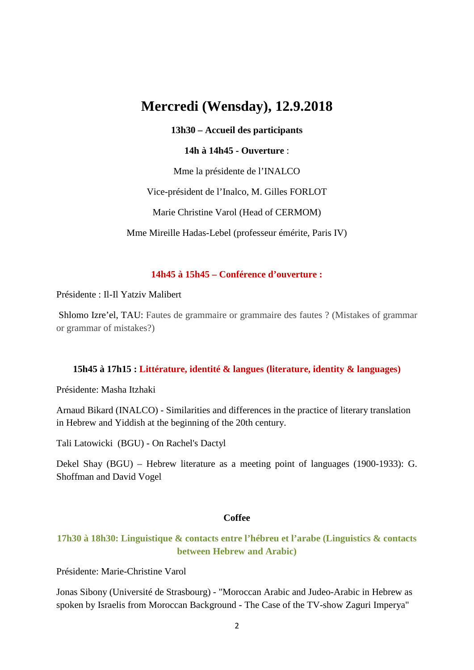# **Mercredi (Wensday), 12.9.2018**

# **13h30 – Accueil des participants**

#### **14h à 14h45 - Ouverture** :

Mme la présidente de l'INALCO

Vice-président de l'Inalco, M. Gilles FORLOT

Marie Christine Varol (Head of CERMOM)

Mme Mireille Hadas-Lebel (professeur émérite, Paris IV)

# **14h45 à 15h45 – Conférence d'ouverture :**

Présidente : Il-Il Yatziv Malibert

Shlomo Izre'el, TAU: Fautes de grammaire or grammaire des fautes ? (Mistakes of grammar or grammar of mistakes?)

#### **15h45 à 17h15 : Littérature, identité & langues (literature, identity & languages)**

Présidente: Masha Itzhaki

Arnaud Bikard (INALCO) - Similarities and differences in the practice of literary translation in Hebrew and Yiddish at the beginning of the 20th century.

Tali Latowicki (BGU) - On Rachel's Dactyl

Dekel Shay (BGU) – Hebrew literature as a meeting point of languages (1900-1933): G. Shoffman and David Vogel

### **Coffee**

# **17h30 à 18h30: Linguistique & contacts entre l'hébreu et l'arabe (Linguistics & contacts between Hebrew and Arabic)**

Présidente: Marie-Christine Varol

Jonas Sibony (Université de Strasbourg) - "Moroccan Arabic and Judeo-Arabic in Hebrew as spoken by Israelis from Moroccan Background - The Case of the TV-show Zaguri Imperya"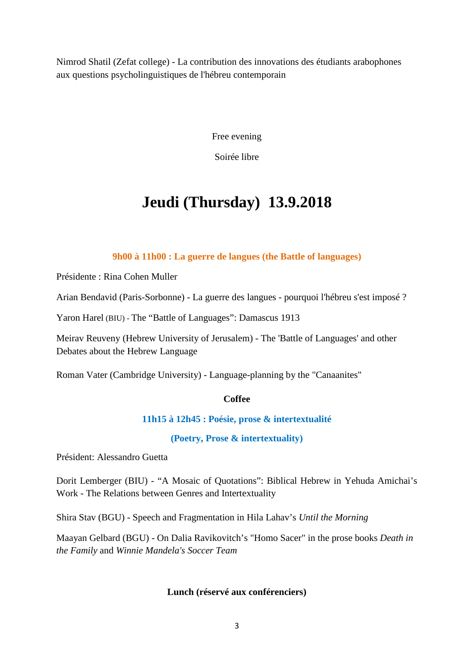Nimrod Shatil (Zefat college) - La contribution des innovations des étudiants arabophones aux questions psycholinguistiques de l'hébreu contemporain

Free evening

Soirée libre

# **Jeudi (Thursday) 13.9.2018**

# **9h00 à 11h00 : La guerre de langues (the Battle of languages)**

Présidente : Rina Cohen Muller

Arian Bendavid (Paris-Sorbonne) - La guerre des langues - pourquoi l'hébreu s'est imposé ?

Yaron Harel (BIU) - The "Battle of Languages": Damascus 1913

Meirav Reuveny (Hebrew University of Jerusalem) - The 'Battle of Languages' and other Debates about the Hebrew Language

Roman Vater (Cambridge University) - Language-planning by the "Canaanites"

# **Coffee**

# **11h15 à 12h45 : Poésie, prose & intertextualité**

**(Poetry, Prose & intertextuality)**

Président: Alessandro Guetta

Dorit Lemberger (BIU) - "A Mosaic of Quotations": Biblical Hebrew in Yehuda Amichai's Work - The Relations between Genres and Intertextuality

Shira Stav (BGU) - Speech and Fragmentation in Hila Lahav's *Until the Morning*

Maayan Gelbard (BGU) - On Dalia Ravikovitch's "Homo Sacer" in the prose books *Death in the Family* and *Winnie Mandela's Soccer Team*

# **Lunch (réservé aux conférenciers)**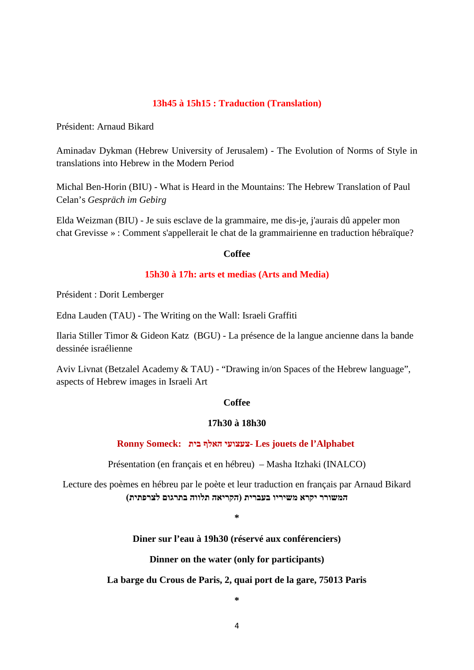#### **13h45 à 15h15 : Traduction (Translation)**

Président: Arnaud Bikard

Aminadav Dykman (Hebrew University of Jerusalem) - The Evolution of Norms of Style in translations into Hebrew in the Modern Period

Michal Ben-Horin (BIU) - What is Heard in the Mountains: The Hebrew Translation of Paul Celan's *Gespräch im Gebirg*

Elda Weizman (BIU) - Je suis esclave de la grammaire, me dis-je, j'aurais dû appeler mon chat Grevisse » : Comment s'appellerait le chat de la grammairienne en traduction hébraïque?

#### **Coffee**

#### **15h30 à 17h: arts et medias (Arts and Media)**

Président : Dorit Lemberger

Edna Lauden (TAU) - The Writing on the Wall: Israeli Graffiti

Ilaria Stiller Timor & Gideon Katz (BGU) - La présence de la langue ancienne dans la bande dessinée israélienne

Aviv Livnat (Betzalel Academy & TAU) - "Drawing in/on Spaces of the Hebrew language", aspects of Hebrew images in Israeli Art

#### **Coffee**

#### **17h30 à 18h30**

# **Ronny Someck: בית האלף צעצועי- Les jouets de l'Alphabet**

Présentation (en français et en hébreu) – Masha Itzhaki (INALCO)

Lecture des poèmes en hébreu par le poète et leur traduction en français par Arnaud Bikard **המשורר יקרא משיריו בעברית (הקריאה תלווה בתרגום לצרפתית)**

**\***

**Diner sur l'eau à 19h30 (réservé aux conférenciers)**

**Dinner on the water (only for participants)**

# **La barge du Crous de Paris, 2, quai port de la gare, 75013 Paris**

**\***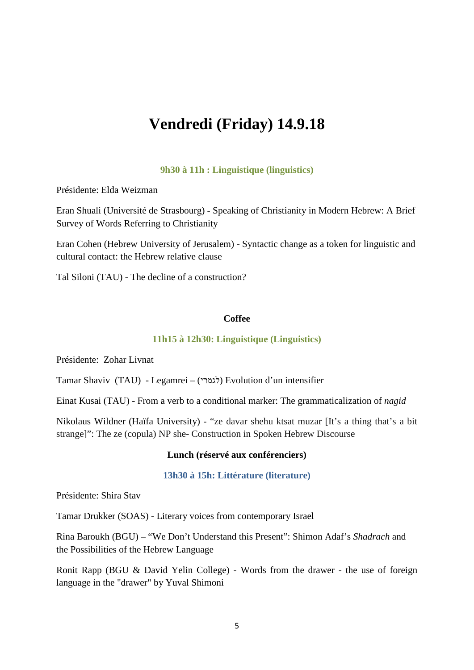# **Vendredi (Friday) 14.9.18**

#### **9h30 à 11h : Linguistique (linguistics)**

Présidente: Elda Weizman

Eran Shuali (Université de Strasbourg) - Speaking of Christianity in Modern Hebrew: A Brief Survey of Words Referring to Christianity

Eran Cohen (Hebrew University of Jerusalem) - Syntactic change as a token for linguistic and cultural contact: the Hebrew relative clause

Tal Siloni (TAU) - The decline of a construction?

#### **Coffee**

# **11h15 à 12h30: Linguistique (Linguistics)**

Présidente: Zohar Livnat

Tamar Shaviv (TAU) - Legamrei – (לגמרי (Evolution d'un intensifier

Einat Kusai (TAU) - From a verb to a conditional marker: The grammaticalization of *nagid*

Nikolaus Wildner (Haïfa University) - "ze davar shehu ktsat muzar [It's a thing that's a bit strange]": The ze (copula) NP she- Construction in Spoken Hebrew Discourse

#### **Lunch (réservé aux conférenciers)**

#### **13h30 à 15h: Littérature (literature)**

Présidente: Shira Stav

Tamar Drukker (SOAS) - Literary voices from contemporary Israel

Rina Baroukh (BGU) – "We Don't Understand this Present": Shimon Adaf's *Shadrach* and the Possibilities of the Hebrew Language

Ronit Rapp (BGU & David Yelin College) - Words from the drawer - the use of foreign language in the "drawer" by Yuval Shimoni